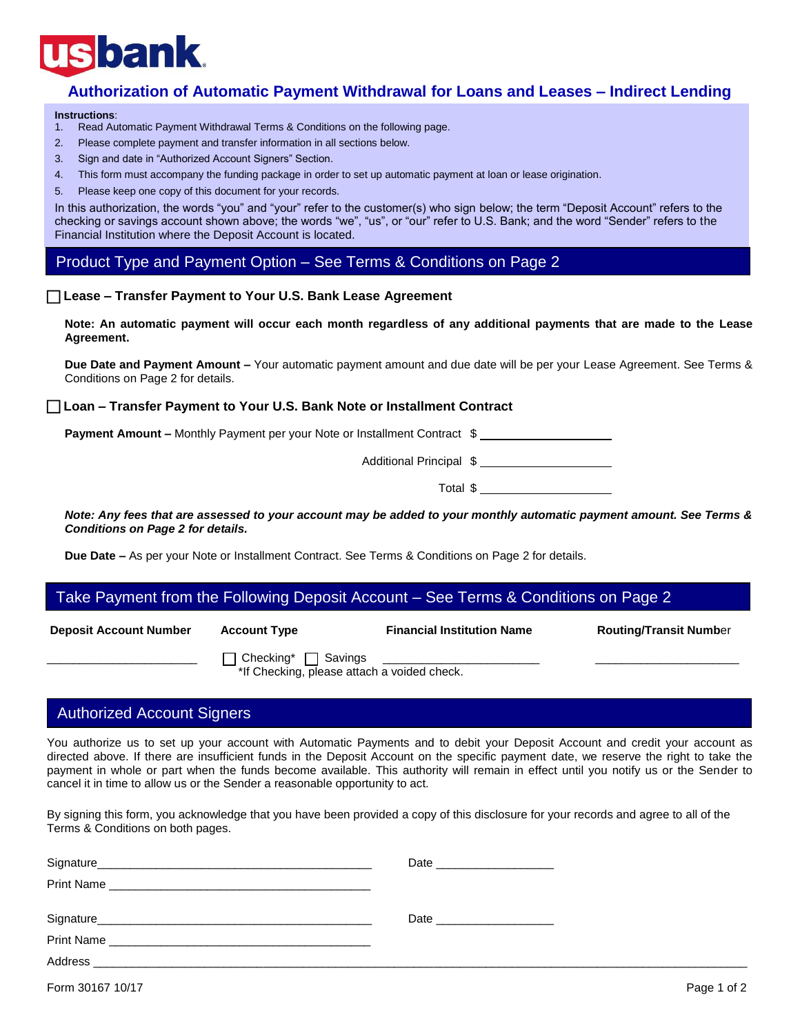# **bank**

# **Authorization of Automatic Payment Withdrawal for Loans and Leases – Indirect Lending**

#### **Instructions**:

- 1. Read Automatic Payment Withdrawal Terms & Conditions on the following page.
- 2. Please complete payment and transfer information in all sections below.
- 3. Sign and date in "Authorized Account Signers" Section.
- 4. This form must accompany the funding package in order to set up automatic payment at loan or lease origination.
- 5. Please keep one copy of this document for your records.

In this authorization, the words "you" and "your" refer to the customer(s) who sign below; the term "Deposit Account" refers to the checking or savings account shown above; the words "we", "us", or "our" refer to U.S. Bank; and the word "Sender" refers to the Financial Institution where the Deposit Account is located.

Product Type and Payment Option – See Terms & Conditions on Page 2

### **Lease – Transfer Payment to Your U.S. Bank Lease Agreement**

**Note: An automatic payment will occur each month regardless of any additional payments that are made to the Lease Agreement.** 

**Due Date and Payment Amount –** Your automatic payment amount and due date will be per your Lease Agreement. See Terms & Conditions on Page 2 for details.

 **Loan – Transfer Payment to Your U.S. Bank Note or Installment Contract** 

**Payment Amount –** Monthly Payment per your Note or Installment Contract \$

Additional Principal \$

Total \$

*Note: Any fees that are assessed to your account may be added to your monthly automatic payment amount. See Terms & Conditions on Page 2 for details.* 

**Due Date –** As per your Note or Installment Contract. See Terms & Conditions on Page 2 for details.

#### Í Take Payment from the Following Deposit Account – See Terms & Conditions on Page 2

|  |  | <b>Deposit Account Numb</b> |  |
|--|--|-----------------------------|--|
|--|--|-----------------------------|--|

I

**Deposit Account Type Routing Account Type Account Type Account Type Routing/Transit Numb**er

 $\Box$  Checking\*  $\Box$  Savings

\*If Checking, please attach a voided check.

## Authorized Account Signers

You authorize us to set up your account with Automatic Payments and to debit your Deposit Account and credit your account as directed above. If there are insufficient funds in the Deposit Account on the specific payment date, we reserve the right to take the payment in whole or part when the funds become available. This authority will remain in effect until you notify us or the Sender to cancel it in time to allow us or the Sender a reasonable opportunity to act.

By signing this form, you acknowledge that you have been provided a copy of this disclosure for your records and agree to all of the Terms & Conditions on both pages.

| Signature<br><u> 1980 - Jan James James James James James James James James James James James James James James James James J</u> | Date                                                                                                                                                                                                                           |
|-----------------------------------------------------------------------------------------------------------------------------------|--------------------------------------------------------------------------------------------------------------------------------------------------------------------------------------------------------------------------------|
| Print Name                                                                                                                        |                                                                                                                                                                                                                                |
|                                                                                                                                   | Date and the contract of the contract of the contract of the contract of the contract of the contract of the contract of the contract of the contract of the contract of the contract of the contract of the contract of the c |
| <b>Print Name</b>                                                                                                                 |                                                                                                                                                                                                                                |
| Address                                                                                                                           |                                                                                                                                                                                                                                |